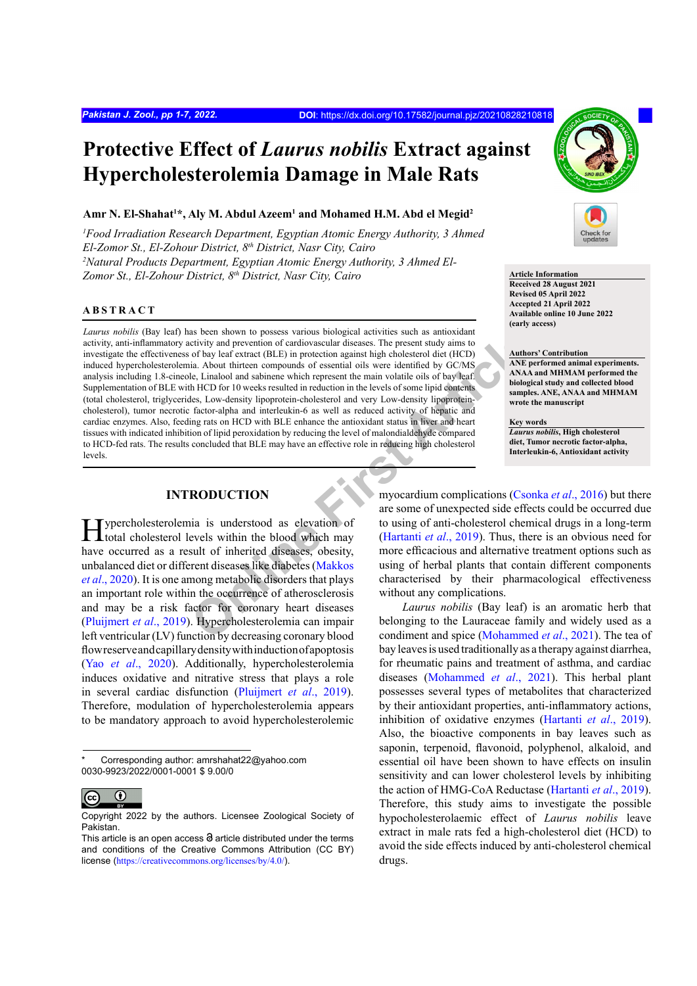# **Protective Effect of** *Laurus nobilis* **Extract against Hypercholesterolemia Damage in Male Rats**

#### Amr N. El-Shahat<sup>1\*</sup>, Aly M. Abdul Azeem<sup>1</sup> and Mohamed H.M. Abd el Megid<sup>2</sup>

<sup>1</sup> Food Irradiation Research Department, Egyptian Atomic Energy Authority, 3 Ahmed *El-Zomor St., El-Zohour District, 8th District, Nasr City, Cairo 2 Natural Products Department, Egyptian Atomic Energy Authority, 3 Ahmed El-Zomor St., El-Zohour District, 8<sup>th</sup> District, Nasr City, Cairo* **Article Information** 

## **ABSTRACT**

Example the since the sample and the sample and the sample and the sample of the sample and the sample of the sample of the sample of the sample of the sample of the sample of the sample of the sample of the sample of the *Laurus nobilis* (Bay leaf) has been shown to possess various biological activities such as antioxidant activity, anti-inflammatory activity and prevention of cardiovascular diseases. The present study aims to investigate the effectiveness of bay leaf extract (BLE) in protection against high cholesterol diet (HCD) induced hypercholesterolemia. About thirteen compounds of essential oils were identified by GC/MS analysis including 1.8-cineole, Linalool and sabinene which represent the main volatile oils of bay leaf. Supplementation of BLE with HCD for 10 weeks resulted in reduction in the levels of some lipid contents (total cholesterol, triglycerides, Low-density lipoprotein-cholesterol and very Low-density lipoproteincholesterol), tumor necrotic factor-alpha and interleukin-6 as well as reduced activity of hepatic and cardiac enzymes. Also, feeding rats on HCD with BLE enhance the antioxidant status in liver and heart tissues with indicated inhibition of lipid peroxidation by reducing the level of malondialdehyde compared to HCD-fed rats. The results concluded that BLE may have an effective role in reducing high cholesterol levels.

# **INTRODUCTION**

Hypercholesterolemia is understood as elevation of total cholesterol levels within the blood which may have occurred as a result of inherited diseases, obesity, unbalanced diet or different diseases like diabetes (Makkos *et al*., 2020). It is one among metabolic disorders that plays an important role within the occurrence of atherosclerosis and may be a risk factor for coronary heart diseases (Pluijmert *et al*., 2019). Hypercholesterolemia can impair left ventricular (LV) function by decreasing coronary blood flow reserve and capillary density with induction of apoptosis (Yao *et al*., 2020). Additionally, hypercholesterolemia induces oxidative and nitrative stress that plays a role in several cardiac disfunction (Pluijmert *et al*., 2019). Therefore, modulation of hypercholesterolemia appears to be mandatory approach to avoid hypercholesterolemic

<sup>\*</sup> Corresponding author: amrshahat22@yahoo.com 0030-9923/2022/0001-0001 \$ 9.00/0



Copyright 2022 by the authors. Licensee Zoological Society of Pakistan.



**Received 28 August 2021 Revised 05 April 2022 Accepted 21 April 2022 Available online 10 June 2022 (early access)**

# **Authors' Contribution**

**ANE performed animal experiments. ANAA and MHMAM performed the biological study and collected blood samples. ANE, ANAA and MHMAM wrote the manuscript**

**Key words**

*Laurus nobilis***, High cholesterol diet, Tumor necrotic factor-alpha, Interleukin-6, Antioxidant activity**

myocardium complications (Csonka *et al*., 2016) but there are some of unexpected side effects could be occurred due to using of anti-cholesterol chemical drugs in a long-term (Hartanti *et al*., 2019). Thus, there is an obvious need for more efficacious and alternative treatment options such as using of herbal plants that contain different components characterised by their pharmacological effectiveness without any complications.

*Laurus nobilis* (Bay leaf) is an aromatic herb that belonging to the Lauraceae family and widely used as a condiment and spice (Mohammed *et al*., 2021). The tea of bay leaves is used traditionally as a therapy against diarrhea, for rheumatic pains and treatment of asthma, and cardiac diseases (Mohammed *et al*., 2021). This herbal plant possesses several types of metabolites that characterized by their antioxidant properties, anti-inflammatory actions, inhibition of oxidative enzymes ([Hartanti](#page-5-0) *et al*., 2019). Also, the bioactive components in bay leaves such as saponin, terpenoid, flavonoid, polyphenol, alkaloid, and essential oil have been shown to have effects on insulin sensitivity and can lower cholesterol levels by inhibiting the action of HMG-CoA Reductase ([Hartanti](#page-5-0) *et al*., 2019). Therefore, this study aims to investigate the possible hypocholesterolaemic effect of *Laurus nobilis* leave extract in male rats fed a high-cholesterol diet (HCD) to avoid the side effects induced by anti-cholesterol chemical drugs.

This article is an open access  $\Theta$  article distributed under the terms and conditions of the Creative Commons Attribution (CC BY) license (<https://creativecommons.org/licenses/by/4.0/>).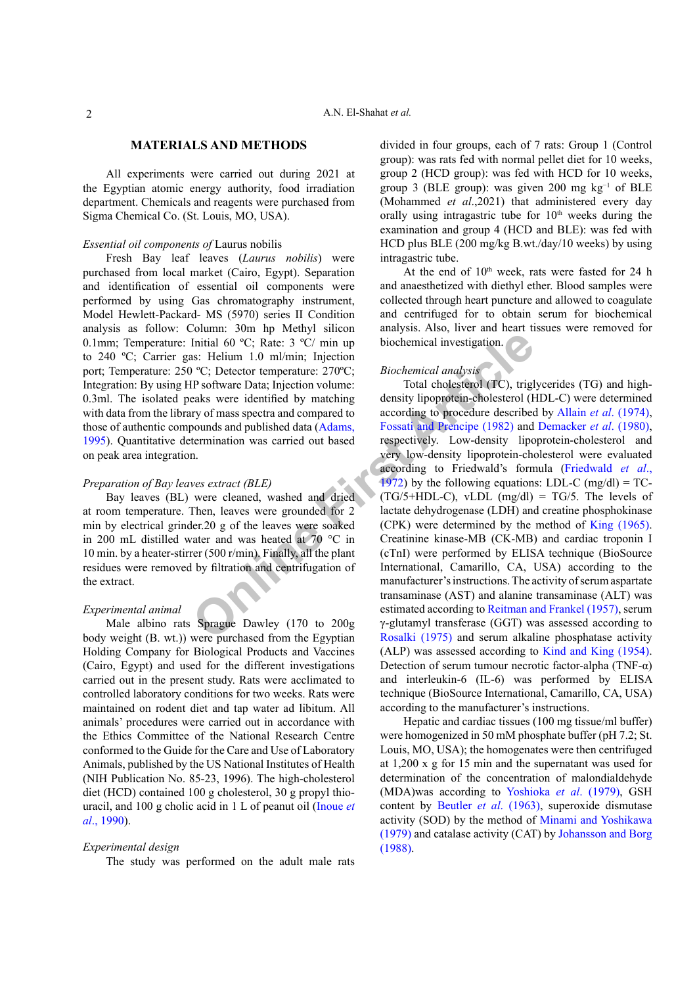# **MATERIALS AND METHODS**

All experiments were carried out during 2021 at the Egyptian atomic energy authority, food irradiation department. Chemicals and reagents were purchased from Sigma Chemical Co. (St. Louis, MO, USA).

#### *Essential oil components of* Laurus nobilis

Fresh Bay leaf leaves (*Laurus nobilis*) were purchased from local market (Cairo, Egypt). Separation and identification of essential oil components were performed by using Gas chromatography instrument, Model Hewlett-Packard- MS (5970) series II Condition analysis as follow: Column: 30m hp Methyl silicon 0.1mm; Temperature: Initial 60 ºC; Rate: 3 ºC/ min up to 240 ºC; Carrier gas: Helium 1.0 ml/min; Injection port; Temperature: 250 ºC; Detector temperature: 270ºC; Integration: By using HP software Data; Injection volume: 0.3ml. The isolated peaks were identified by matching with data from the library of mass spectra and compared to those of authentic compounds and published data (Adams, [1995\)](#page-4-0). Quantitative determination was carried out based on peak area integration.

#### *Preparation of Bay leaves extract (BLE)*

Bay leaves (BL) were cleaned, washed and dried at room temperature. Then, leaves were grounded for 2 min by electrical grinder.20 g of the leaves were soaked in 200 mL distilled water and was heated at 70 °C in 10 min. by a heater-stirrer (500 r/min). Finally, all the plant residues were removed by filtration and centrifugation of the extract.

#### *Experimental animal*

Male albino rats Sprague Dawley (170 to 200g body weight (B. wt.)) were purchased from the Egyptian Holding Company for Biological Products and Vaccines (Cairo, Egypt) and used for the different investigations carried out in the present study. Rats were acclimated to controlled laboratory conditions for two weeks. Rats were maintained on rodent diet and tap water ad libitum. All animals' procedures were carried out in accordance with the Ethics Committee of the National Research Centre conformed to the Guide for the Care and Use of Laboratory Animals, published by the US National Institutes of Health (NIH Publication No. 85-23, 1996). The high-cholesterol diet (HCD) contained 100 g cholesterol, 30 g propyl thiouracil, and 100 g cholic acid in 1 L of peanut oil [\(Inoue](#page-5-1) *et al*[., 1990\)](#page-5-1).

#### *Experimental design*

The study was performed on the adult male rats

divided in four groups, each of 7 rats: Group 1 (Control group): was rats fed with normal pellet diet for 10 weeks, group 2 (HCD group): was fed with HCD for 10 weeks, group 3 (BLE group): was given 200 mg  $kg^{-1}$  of BLE (Mohammed *et al*.,2021) that administered every day orally using intragastric tube for  $10<sup>th</sup>$  weeks during the examination and group 4 (HCD and BLE): was fed with HCD plus BLE (200 mg/kg B.wt./day/10 weeks) by using intragastric tube.

At the end of  $10<sup>th</sup>$  week, rats were fasted for 24 h and anaesthetized with diethyl ether. Blood samples were collected through heart puncture and allowed to coagulate and centrifuged for to obtain serum for biochemical analysis. Also, liver and heart tissues were removed for biochemical investigation.

# *Biochemical analysis*

**Con[t](#page-5-2)ains the tend of the set of the set of the set of the set of the set of the set of the set of the set of the set of the set of the set of the set of the set of the set of the set of the set of the set of the set of t** Total cholesterol (TC), triglycerides (TG) and highdensity lipoprotein-cholesterol (HDL-C) were determined according to procedure described by Allain *et al*[. \(1974\)](#page-4-1), Fossati and Prencipe (1982) and Demacker *et al*. (1980), respectively. Low-density lipoprotein-cholesterol and very low-density lipoprotein-cholesterol were evaluated according to Friedwald's formula ([Friedwald](#page-5-3) *et al*., 1972) by the following equations: LDL-C (mg/dl) =  $TC$ - $(TG/5+HDL-C)$ , vLDL  $(mg/dl) = TG/5$ . The levels of lactate dehydrogenase (LDH) and creatine phosphokinase (CPK) were determined by the method of [King \(1965\).](#page-5-4) Creatinine kinase-MB (CK-MB) and cardiac troponin I (cTnI) were performed by ELISA technique (BioSource International, Camarillo, CA, USA) according to the manufacturer's instructions. The activity of serum aspartate transaminase (AST) and alanine transaminase (ALT) was estimated according to Reitman and Frankel (1957), serum γ-glutamyl transferase (GGT) was assessed according to Rosalki (1975) and serum alkaline phosphatase activity (ALP) was assessed according to [Kind and King \(1954\).](#page-5-5) Detection of serum tumour necrotic factor-alpha (TNF- $\alpha$ ) and interleukin-6 (IL-6) was performed by ELISA technique (BioSource International, Camarillo, CA, USA) according to the manufacturer's instructions.

> Hepatic and cardiac tissues (100 mg tissue/ml buffer) were homogenized in 50 mM phosphate buffer (pH 7.2; St. Louis, MO, USA); the homogenates were then centrifuged at 1,200 x g for 15 min and the supernatant was used for determination of the concentration of malondialdehyde (MDA)was according to Yoshioka *et al*. (1979), GSH content by Beutler *et al*. (1963), superoxide dismutase activity (SOD) by the method of Minami and Yoshikawa (1979) and catalase activity (CAT) by [Johansson and Borg](#page-5-6) [\(1988\)](#page-5-6).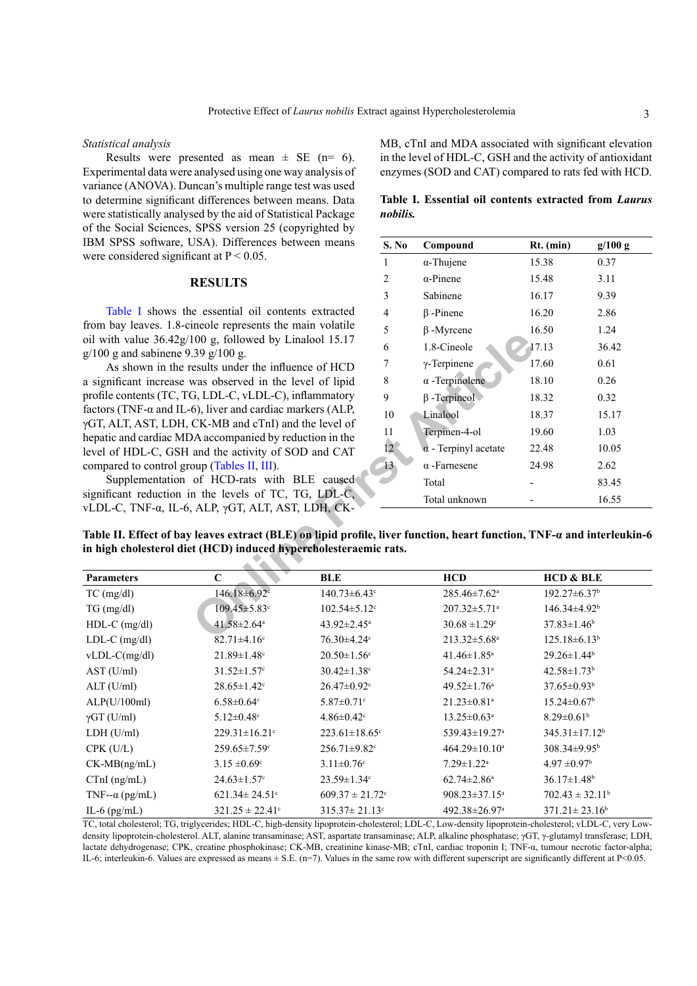#### *Statistical analysis*

Results were presented as mean  $\pm$  SE (n= 6). Experimental data were analysed using one way analysis of variance (ANOVA). Duncan's multiple range test was used to determine significant differences between means. Data were statistically analysed by the aid of Statistical Package of the Social Sciences, SPSS version 25 (copyrighted by IBM SPSS software, USA). Differences between means were considered significant at  $P < 0.05$ .

### **RESULTS**

Table I shows the essential oil contents extracted from bay leaves. 1.8-cineole represents the main volatile oil with value 36.42g/100 g, followed by Linalool 15.17  $g/100$  g and sabinene 9.39 g/100 g.

As shown in the results under the influence of HCD a significant increase was observed in the level of lipid profile contents (TC, TG, LDL-C, vLDL-C), inflammatory factors (TNF- $\alpha$  and IL-6), liver and cardiac markers (ALP, γGT, ALT, AST, LDH, CK-MB and cTnI) and the level of hepatic and cardiac MDA accompanied by reduction in the level of HDL-C, GSH and the activity of SOD and CAT compared to control group (Tables II, III).

Supplementation of HCD-rats with BLE caused significant reduction in the levels of TC, TG, LDL-C, vLDL-C, TNF-α, IL-6, ALP, γGT, ALT, AST, LDH, CK-

MB, cTnI and MDA associated with significant elevation in the level of HDL-C, GSH and the activity of antioxidant enzymes (SOD and CAT) compared to rats fed with HCD.

|          |  | Table I. Essential oil contents extracted from <i>Laurus</i> |  |
|----------|--|--------------------------------------------------------------|--|
| nobilis. |  |                                                              |  |

| JSA). Differences between means<br>cant at $P < 0.05$ .                                                                                                                                                                                                                        |                                | S. No                         | Compound                       | Rt. (min)                      | g/100 g |
|--------------------------------------------------------------------------------------------------------------------------------------------------------------------------------------------------------------------------------------------------------------------------------|--------------------------------|-------------------------------|--------------------------------|--------------------------------|---------|
|                                                                                                                                                                                                                                                                                |                                | 1                             | $\alpha$ -Thujene              | 15.38                          | 0.37    |
| <b>RESULTS</b>                                                                                                                                                                                                                                                                 |                                | 2                             | $\alpha$ -Pinene               | 15.48                          | 3.11    |
|                                                                                                                                                                                                                                                                                | 3                              | Sabinene                      | 16.17                          | 9.39                           |         |
| e essential oil contents extracted                                                                                                                                                                                                                                             |                                | $\overline{4}$                | $\beta$ -Pinene                | 16.20                          | 2.86    |
| ineole represents the main volatile                                                                                                                                                                                                                                            | 5                              | $\beta$ -Myrcene              | 16.50                          | 1.24                           |         |
| 100 g, followed by Linalool 15.17<br>.39 $g/100$ g.                                                                                                                                                                                                                            | 6                              | 1.8-Cineole                   | 17.13                          | 36.42                          |         |
| esults under the influence of HCD                                                                                                                                                                                                                                              | 7                              | $\gamma$ -Terpinene           | 17.60                          | 0.61                           |         |
| was observed in the level of lipid                                                                                                                                                                                                                                             | 8                              | $\alpha$ -Terpinolene         | 18.10                          | 0.26                           |         |
| G, LDL-C, vLDL-C), inflammatory                                                                                                                                                                                                                                                | 9                              | $\beta$ -Terpineol            | 18.32                          | 0.32                           |         |
| 6), liver and cardiac markers (ALP,<br>10<br>CK-MB and cTnI) and the level of<br>11<br>A accompanied by reduction in the<br>12 <sup>°</sup><br>and the activity of SOD and CAT<br>13<br>oup (Tables II, III).<br>of HCD-rats with BLE caused<br>n the levels of TC, TG, LDL-C, |                                |                               | Linalool                       | 18.37                          | 15.17   |
|                                                                                                                                                                                                                                                                                |                                |                               | Terpinen-4-ol                  | 19.60                          | 1.03    |
|                                                                                                                                                                                                                                                                                |                                |                               | $\alpha$ - Terpinyl acetate    | 22.48                          | 10.05   |
|                                                                                                                                                                                                                                                                                |                                |                               | $\alpha$ -Farnesene            | 24.98                          | 2.62    |
|                                                                                                                                                                                                                                                                                |                                |                               | Total                          |                                | 83.45   |
|                                                                                                                                                                                                                                                                                |                                |                               | Total unknown                  |                                | 16.55   |
| , ALP, γGT, ALT, AST, LDH, CK-                                                                                                                                                                                                                                                 |                                |                               |                                |                                |         |
| leaves extract (BLE) on lipid profile, liver function, heart function, $TNF-\alpha$ and interleukin-6                                                                                                                                                                          |                                |                               |                                |                                |         |
| et (HCD) induced hypercholesteraemic rats.                                                                                                                                                                                                                                     |                                |                               |                                |                                |         |
|                                                                                                                                                                                                                                                                                |                                |                               |                                |                                |         |
| $\mathbf C$                                                                                                                                                                                                                                                                    | <b>BLE</b>                     |                               | <b>HCD</b>                     | <b>HCD &amp; BLE</b>           |         |
| 146.18±6.92c                                                                                                                                                                                                                                                                   | $140.73 \pm 6.43$ °            |                               | $285.46 \pm 7.62$ <sup>a</sup> | $192.27 \pm 6.37$ <sup>b</sup> |         |
| 109.45±5.83°                                                                                                                                                                                                                                                                   | $102.54 \pm 5.12$ <sup>c</sup> |                               | $207.32 \pm 5.71$ <sup>a</sup> | $146.34\pm4.92^b$              |         |
| $41.58 \pm 2.64$ <sup>a</sup><br>43.92±2.45 <sup>a</sup><br>$76.20 \pm 4.24c$<br>$92.71 + 4.16c$                                                                                                                                                                               |                                | $30.68 \pm 1.29$ <sup>c</sup> | $37.83 \pm 1.46$ <sup>b</sup>  |                                |         |
|                                                                                                                                                                                                                                                                                |                                | $212.22 + 60a$                | 125 19 $\pm$ 6 12b             |                                |         |

**Table II. Effect of bay leaves extract (BLE) on lipid profile, liver function, heart function, TNF-α and interleukin-6 in high cholesterol diet (HCD) induced hypercholesteraemic rats.**

| <b>Parameters</b>      | $\mathbf C$                    | BLE                             | <b>HCD</b>                     | <b>HCD &amp; BLE</b>           |  |
|------------------------|--------------------------------|---------------------------------|--------------------------------|--------------------------------|--|
| $TC$ (mg/dl)           | $146.18 \pm 6.92$ <sup>c</sup> | $140.73 \pm 6.43$ °             | $285.46 \pm 7.62$ <sup>a</sup> | $192.27 \pm 6.37$ <sup>b</sup> |  |
| $TG \, (mg/dl)$        | $109.45 \pm 5.83$ <sup>c</sup> | $102.54 \pm 5.12$ °             | $207.32 \pm 5.71$ <sup>a</sup> | $146.34\pm4.92^b$              |  |
| $HDL-C$ (mg/dl)        | $41.58 \pm 2.64$ <sup>a</sup>  | $43.92 \pm 2.45$ <sup>a</sup>   | $30.68 \pm 1.29$ °             | $37.83 \pm 1.46$ <sup>b</sup>  |  |
| $LDL-C$ (mg/dl)        | $82.71 \pm 4.16$ °             | $76.30 \pm 4.24$ °              | $213.32 \pm 5.68^a$            | $125.18\pm6.13^b$              |  |
| $vLDL-C(mg/dl)$        | $21.89 \pm 1.48$ c             | $20.50 \pm 1.56$ °              | $41.46 \pm 1.85$ <sup>a</sup>  | $29.26 \pm 1.44$ <sup>b</sup>  |  |
| AST (U/ml)             | $31.52 \pm 1.57$ °             | $30.42 \pm 1.38$ °              | $54.24 \pm 2.31$ <sup>a</sup>  | $42.58 \pm 1.73$ <sup>b</sup>  |  |
| $ALT$ (U/ml)           | $28.65 \pm 1.42$ <sup>c</sup>  | $26.47 \pm 0.92$ <sup>c</sup>   | $49.52 \pm 1.76$ <sup>a</sup>  | $37.65 \pm 0.93^b$             |  |
| ALP(U/100ml)           | $6.58 \pm 0.64$ °              | $5.87 \pm 0.71$ °               | $21.23 \pm 0.81$ <sup>a</sup>  | $15.24 \pm 0.67$ <sup>b</sup>  |  |
| $\gamma$ GT (U/ml)     | $5.12 \pm 0.48$ <sup>c</sup>   | $4.86 \pm 0.42$ <sup>c</sup>    | $13.25 \pm 0.63$ <sup>a</sup>  | $8.29 \pm 0.61$ <sup>b</sup>   |  |
| LDH (U/ml)             | $229.31 \pm 16.21$ °           | $223.61 \pm 18.65$ °            | 539.43±19.27 <sup>a</sup>      | $345.31 \pm 17.12^b$           |  |
| $CPK$ (U/L)            | $259.65 \pm 7.59$ °            | $256.71 \pm 9.82$ <sup>c</sup>  | $464.29 \pm 10.10^a$           | $308.34\pm9.95^{\circ}$        |  |
| $CK-MB(ng/mL)$         | $3.15 \pm 0.69$ °              | $3.11 \pm 0.76$ <sup>c</sup>    | $7.29 \pm 1.22$ <sup>a</sup>   | $4.97 \pm 0.97$ <sup>b</sup>   |  |
| $C T nI$ ( $ng/mL$ )   | $24.63 \pm 1.57$ °             | $23.59 \pm 1.34$ °              | $62.74 \pm 2.86^{\mathrm{a}}$  | $36.17 \pm 1.48$ <sup>b</sup>  |  |
| TNF-- $\alpha$ (pg/mL) | $621.34 \pm 24.51$ °           | $609.37 \pm 21.72$ <sup>c</sup> | $908.23 \pm 37.15^a$           | $702.43 \pm 32.11^b$           |  |
| IL-6 $(pg/mL)$         | $321.25 \pm 22.41$ °           | $315.37 \pm 21.13$ °            | 492.38±26.97 <sup>a</sup>      | $371.21 \pm 23.16^b$           |  |

TC, total cholesterol; TG, triglycerides; HDL-C, high-density lipoprotein-cholesterol; LDL-C, Low-density lipoprotein-cholesterol; vLDL-C, very Lowdensity lipoprotein-cholesterol. ALT, alanine transaminase; AST, aspartate transaminase; ALP, alkaline phosphatase; γGT, γ-glutamyl transferase; LDH, lactate dehydrogenase; CPK, creatine phosphokinase; CK-MB, creatinine kinase-MB; cTnI, cardiac troponin I; TNF-α, tumour necrotic factor-alpha; IL-6; interleukin-6. Values are expressed as means  $\pm$  S.E. (n=7). Values in the same row with different superscript are significantly different at P<0.05.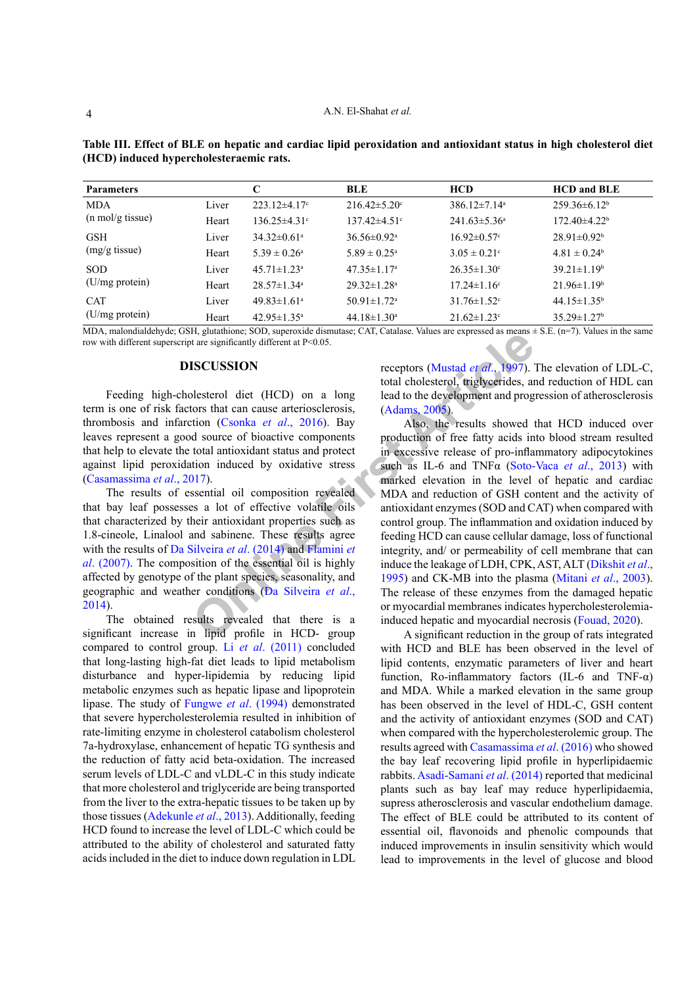| <b>Parameters</b>          |       | C                             | <b>BLE</b>                    | <b>HCD</b>                     | <b>HCD</b> and <b>BLE</b>     |
|----------------------------|-------|-------------------------------|-------------------------------|--------------------------------|-------------------------------|
| <b>MDA</b>                 | Liver | $223.12\pm4.17$ °             | $216.42 \pm 5.20$ °           | $386.12 \pm 7.14$ <sup>a</sup> | $259.36\pm6.12^b$             |
| $(n \text{ mol/g tissue})$ | Heart | $136.25 \pm 4.31$ °           | $137.42 \pm 4.51$ °           | $241.63 \pm 5.36^{\circ}$      | $172.40\pm4.22^b$             |
| <b>GSH</b>                 | Liver | $34.32 \pm 0.61$ <sup>a</sup> | $36.56 \pm 0.92$ <sup>a</sup> | $16.92 \pm 0.57$ °             | $28.91 \pm 0.92^b$            |
| (mg/gtissue)               | Heart | $5.39 \pm 0.26^{\circ}$       | $5.89 \pm 0.25^{\circ}$       | $3.05 \pm 0.21$ °              | $4.81 \pm 0.24^b$             |
| <b>SOD</b>                 | Liver | $45.71 \pm 1.23$ <sup>a</sup> | $47.35 \pm 1.17$ <sup>a</sup> | $26.35 \pm 1.30$ °             | $39.21 \pm 1.19^b$            |
| (U/mg protein)             | Heart | $28.57 \pm 1.34$ <sup>a</sup> | $29.32 \pm 1.28$ <sup>a</sup> | $17.24 \pm 1.16$ <sup>c</sup>  | $21.96 \pm 1.19^b$            |
| <b>CAT</b>                 | Liver | $49.83 \pm 1.61$ <sup>a</sup> | 50.91 $\pm$ 1.72 <sup>a</sup> | $31.76 \pm 1.52$ <sup>c</sup>  | $44.15 \pm 1.35^b$            |
| (U/mg protein)             | Heart | $42.95 \pm 1.35^a$            | $44.18 \pm 1.30^a$            | $21.62 \pm 1.23$ °             | $35.29 \pm 1.27$ <sup>b</sup> |

**Table III. Effect of BLE on hepatic and cardiac lipid peroxidation and antioxidant status in high cholesterol diet (HCD) induced hypercholesteraemic rats.**

MDA, malondialdehyde; GSH, glutathione; SOD, superoxide dismutase; CAT, Catalase. Values are expressed as means  $\pm$  S.E. (n=7). Values in the same row with different superscript are significantly different at P<0.05.

# **DISCUSSION**

Feeding high-cholesterol diet (HCD) on a long term is one of risk factors that can cause arteriosclerosis, thrombosis and infarction (Csonka *et al*., 2016). Bay leaves represent a good source of bioactive components that help to elevate the total antioxidant status and protect against lipid peroxidation induced by oxidative stress ([Casamassima](#page-4-2) *et al*., 2017).

The results of essential oil composition revealed that bay leaf possesses a lot of effective volatile oils that characterized by their antioxidant properties such as 1.8-cineole, Linalool and sabinene. These results agree with the results of Da Silveira *et al*. (2014) and Flamini *et al*[. \(2007\)](#page-5-7). The composition of the essential oil is highly affected by genotype of the plant species, seasonality, and geographic and weather conditions (Da Silveira *et al*., [2014\)](#page-4-3).

The obtained results revealed that there is a significant increase in lipid profile in HCD- group compared to control group. Li *et al*[. \(2011\)](#page-5-8) concluded that long-lasting high-fat diet leads to lipid metabolism disturbance and hyper-lipidemia by reducing lipid metabolic enzymes such as hepatic lipase and lipoprotein lipase. The study of [Fungwe](#page-5-9) *et al*. (1994) demonstrated that severe hypercholesterolemia resulted in inhibition of rate-limiting enzyme in cholesterol catabolism cholesterol 7a-hydroxylase, enhancement of hepatic TG synthesis and the reduction of fatty acid beta-oxidation. The increased serum levels of LDL-C and vLDL-C in this study indicate that more cholesterol and triglyceride are being transported from the liver to the extra-hepatic tissues to be taken up by those tissues ([Adekunle](#page-4-4) *et al*., 2013). Additionally, feeding HCD found to increase the level of LDL-C which could be attributed to the ability of cholesterol and saturated fatty acids included in the diet to induce down regulation in LDL

receptors (Mustad *et al*., 1997). The elevation of LDL-C, total cholesterol, triglycerides, and reduction of HDL can lead to the development and progression of atherosclerosis (Adams, 2005).

**Exampl[e](#page-5-7) the summand and the summand summand and the summand of the summand of the summand of the summand of the summand properties and the distribution (Csonka** *et al.***, 2016). Bay that can cause arteriosclerosis, (Adams,** Also, the results showed that HCD induced over production of free fatty acids into blood stream resulted in excessive release of pro-inflammatory adipocytokines such as IL-6 and TNFα (Soto-Vaca *et al*., 2013) with marked elevation in the level of hepatic and cardiac MDA and reduction of GSH content and the activity of antioxidant enzymes (SOD and CAT) when compared with control group. The inflammation and oxidation induced by feeding HCD can cause cellular damage, loss of functional integrity, and/ or permeability of cell membrane that can induce the leakage of LDH, CPK, AST, ALT ([Dikshit](#page-5-10) *et al*., 1995) and CK-MB into the plasma (Mitani *et al*., 2003). The release of these enzymes from the damaged hepatic or myocardial membranes indicates hypercholesterolemiainduced hepatic and myocardial necrosis ([Fouad, 2020\)](#page-5-11).

A significant reduction in the group of rats integrated with HCD and BLE has been observed in the level of lipid contents, enzymatic parameters of liver and heart function, Ro-inflammatory factors (IL-6 and TNF- $\alpha$ ) and MDA. While a marked elevation in the same group has been observed in the level of HDL-C, GSH content and the activity of antioxidant enzymes (SOD and CAT) when compared with the hypercholesterolemic group. The results agreed with [Casamassima](#page-4-6) *et al*. (2016) who showed the bay leaf recovering lipid profile in hyperlipidaemic rabbits. [Asadi-Samani](#page-4-7) *et al*. (2014) reported that medicinal plants such as bay leaf may reduce hyperlipidaemia, supress atherosclerosis and vascular endothelium damage. The effect of BLE could be attributed to its content of essential oil, flavonoids and phenolic compounds that induced improvements in insulin sensitivity which would lead to improvements in the level of glucose and blood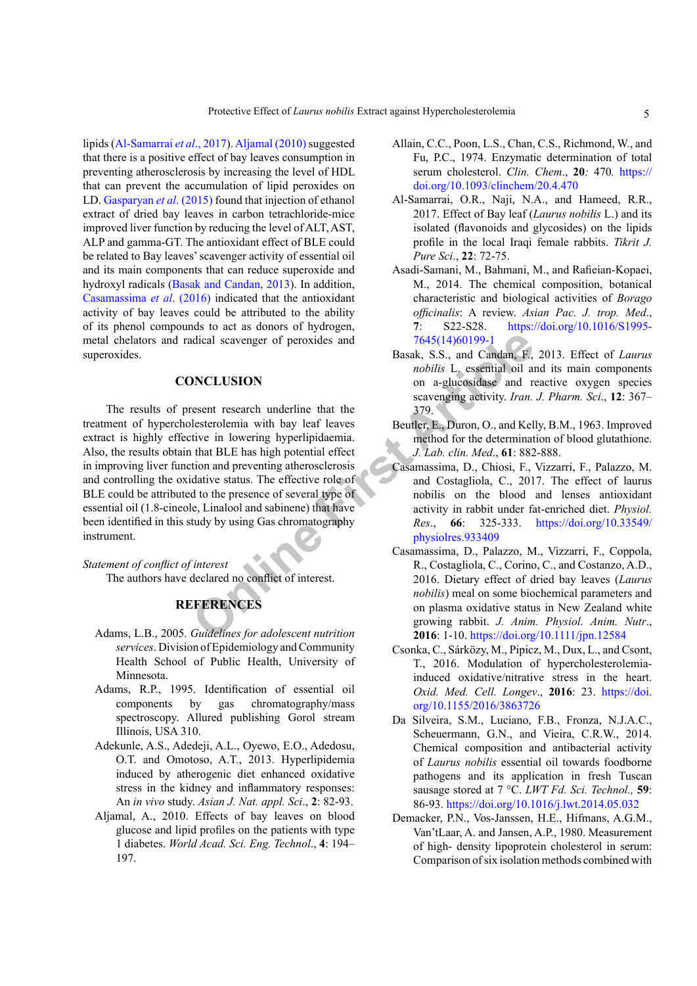lipids ([Al-Samarrai](#page-4-8) *et al*., 2017). [Aljamal \(2010\)](#page-4-9) suggested that there is a positive effect of bay leaves consumption in preventing atherosclerosis by increasing the level of HDL that can prevent the accumulation of lipid peroxides on LD. [Gasparyan](#page-5-12) *et al*. (2015) found that injection of ethanol extract of dried bay leaves in carbon tetrachloride-mice improved liver function by reducing the level of ALT, AST, ALP and gamma-GT. The antioxidant effect of BLE could be related to Bay leaves' scavenger activity of essential oil and its main components that can reduce superoxide and hydroxyl radicals ([Basak and Candan, 2013\)](#page-4-10). In addition, [Casamassima](#page-4-6) *et al*. (2016) indicated that the antioxidant activity of bay leaves could be attributed to the ability of its phenol compounds to act as donors of hydrogen, metal chelators and radical scavenger of peroxides and superoxides.

### **CONCLUSION**

Microsofter of peroxides and<br>
Basak, S.S., and Candan, F.,<br>
mobi[l](https://doi.org/10.1016/S1995-7645(14)60199-1)is L. essential oil a<br>
on a-gluotesidase and Towards are tresent research underline that the<br>
scavenging activity. *Iran*.<br>
lesterolemia with bay leaf leaves The results of present research underline that the treatment of hypercholesterolemia with bay leaf leaves extract is highly effective in lowering hyperlipidaemia. Also, the results obtain that BLE has high potential effect in improving liver function and preventing atherosclerosis and controlling the oxidative status. The effective role of BLE could be attributed to the presence of several type of essential oil (1.8-cineole, Linalool and sabinene) that have been identified in this study by using Gas chromatography instrument.

*Statement of conflict of interest*

The authors have declared no conflict of interest.

# **REFERENCES**

- <span id="page-4-5"></span>Adams, L.B., 2005. *Guidelines for adolescent nutrition services*. Division of Epidemiology and Community Health School of Public Health, University of Minnesota.
- <span id="page-4-0"></span>Adams, R.P., 1995. Identification of essential oil components by gas chromatography/mass spectroscopy. Allured publishing Gorol stream Illinois, USA 310.
- <span id="page-4-4"></span>Adekunle, A.S., Adedeji, A.L., Oyewo, E.O., Adedosu, O.T. and Omotoso, A.T., 2013. Hyperlipidemia induced by atherogenic diet enhanced oxidative stress in the kidney and inflammatory responses: An *in vivo* study. *Asian J. Nat. appl. Sci*., **2**: 82-93.
- <span id="page-4-9"></span>Aljamal, A., 2010. Effects of bay leaves on blood glucose and lipid profiles on the patients with type 1 diabetes. *World Acad. Sci. Eng. Technol*., **4**: 194– 197.
- <span id="page-4-1"></span>Allain, C.C., Poon, L.S., Chan, C.S., Richmond, W., and Fu, P.C., 1974. Enzymatic determination of total serum cholesterol. *Clin. Chem*., **20***:* 470*.* [https://](https://doi.org/10.1093/clinchem/20.4.470) [doi.org/10.1093/clinchem/20.4.470](https://doi.org/10.1093/clinchem/20.4.470)
- <span id="page-4-8"></span>Al-Samarrai, O.R., Naji, N.A., and Hameed, R.R., 2017. Effect of Bay leaf (*Laurus nobilis* L.) and its isolated (flavonoids and glycosides) on the lipids profile in the local Iraqi female rabbits. *Tikrit J. Pure Sci*., **22**: 72-75.
- <span id="page-4-7"></span>Asadi-Samani, M., Bahmani, M., and Rafieian-Kopaei, M., 2014. The chemical composition, botanical characteristic and biological activities of *Borago officinalis*: A review. *Asian Pac. J. trop. Med*., **7**: S22-S28. [https://doi.org/10.1016/S1995-](https://doi.org/10.1016/S1995-7645(14)60199-1) 7645(14)60199-1
- <span id="page-4-10"></span>Basak, S.S., and Candan, F., 2013. Effect of *Laurus nobilis* L. essential oil and its main components on a-glucosidase and reactive oxygen species scavenging activity. *Iran. J. Pharm. Sci*., **12**: 367– 379.
- Beutler, E., Duron, O., and Kelly, B.M., 1963. Improved method for the determination of blood glutathione. *J. Lab. clin. Med*., **61**: 882-888.
- <span id="page-4-2"></span>Casamassima, D., Chiosi, F., Vizzarri, F., Palazzo, M. and Costagliola, C., 2017. The effect of laurus nobilis on the blood and lenses antioxidant activity in rabbit under fat-enriched diet. *Physiol. Res*., **66**: 325-333. [https://doi.org/10.33549/](https://doi.org/10.33549/physiolres.933409) physiolres.933409
- <span id="page-4-6"></span>Casamassima, D., Palazzo, M., Vizzarri, F., Coppola, R., Costagliola, C., Corino, C., and Costanzo, A.D., 2016. Dietary effect of dried bay leaves (*Laurus nobilis*) meal on some biochemical parameters and on plasma oxidative status in New Zealand white growing rabbit. *J. Anim. Physiol. Anim. Nutr*., **2016**: 1-10. <https://doi.org/10.1111/jpn.12584>
- Csonka, C., Sárközy, M., Pipicz, M., Dux, L., and Csont, T., 2016. Modulation of hypercholesterolemiainduced oxidative/nitrative stress in the heart. *Oxid. Med. Cell. Longev*., **2016**: 23. [https://doi.](https://doi.org/10.1155/2016/3863726) [org/10.1155/2016/3863726](https://doi.org/10.1155/2016/3863726)
- <span id="page-4-3"></span>Da Silveira, S.M., Luciano, F.B., Fronza, N.J.A.C., Scheuermann, G.N., and Vieira, C.R.W., 2014. Chemical composition and antibacterial activity of *Laurus nobilis* essential oil towards foodborne pathogens and its application in fresh Tuscan sausage stored at 7 °C. *LWT Fd. Sci. Technol.,* **59**: 86-93.<https://doi.org/10.1016/j.lwt.2014.05.032>
- Demacker, P.N., Vos-Janssen, H.E., Hifmans, A.G.M., Van'tLaar, A. and Jansen, A.P., 1980. Measurement of high- density lipoprotein cholesterol in serum: Comparison of six isolation methods combined with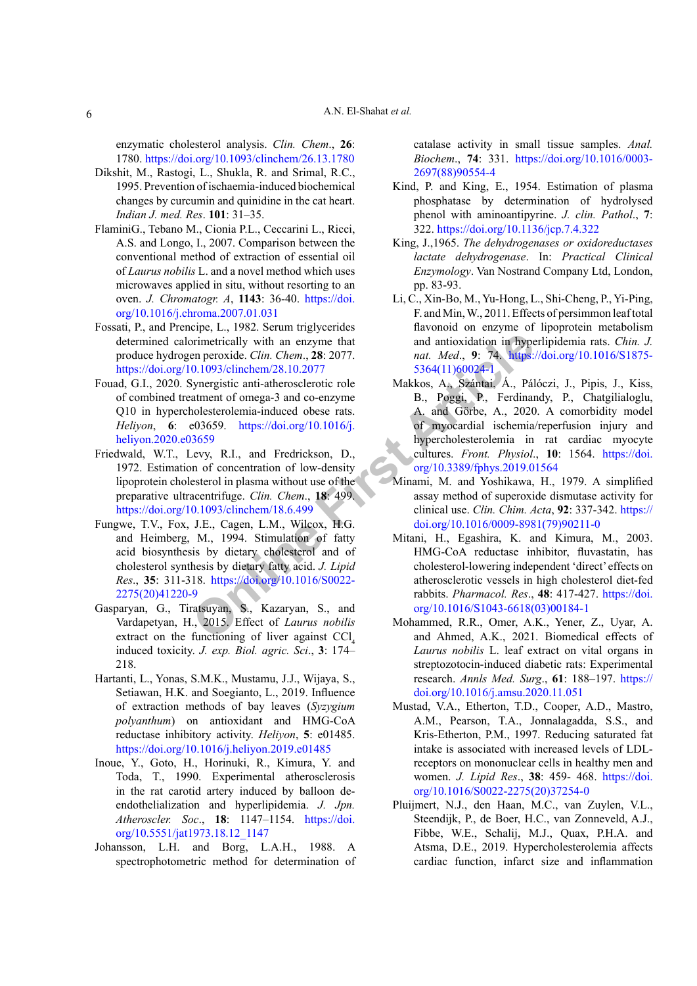enzymatic cholesterol analysis. *Clin. Chem*., **26**: 1780.<https://doi.org/10.1093/clinchem/26.13.1780>

- <span id="page-5-10"></span>Dikshit, M., Rastogi, L., Shukla, R. and Srimal, R.C., 1995. Prevention of ischaemia-induced biochemical changes by curcumin and quinidine in the cat heart. *Indian J. med. Res*. **101**: 31–35.
- <span id="page-5-7"></span>FlaminiG., Tebano M., Cionia P.L., Ceccarini L., Ricci, A.S. and Longo, I., 2007. Comparison between the conventional method of extraction of essential oil of *Laurus nobilis* L. and a novel method which uses microwaves applied in situ, without resorting to an oven. *J. Chromatogr. A*, **1143**: 36-40. [https://doi.](https://doi.org/10.1016/j.chroma.2007.01.031) [org/10.1016/j.chroma.2007.01.031](https://doi.org/10.1016/j.chroma.2007.01.031)
- <span id="page-5-2"></span>Fossati, P., and Prencipe, L., 1982. Serum triglycerides determined calorimetrically with an enzyme that produce hydrogen peroxide. *Clin. Chem*., **28**: 2077. <https://doi.org/10.1093/clinchem/28.10.2077>
- <span id="page-5-11"></span>Fouad, G.I., 2020. Synergistic anti-atherosclerotic role of combined treatment of omega-3 and co-enzyme Q10 in hypercholesterolemia-induced obese rats. *Heliyon*, **6**: e03659. https://doi.org/10.1016/j. [heliyon.2020.e03659](https://doi.org/10.1016/j.heliyon.2020.e03659)
- <span id="page-5-3"></span>Friedwald, W.T., Levy, R.I., and Fredrickson, D., 1972. Estimation of concentration of low-density lipoprotein cholesterol in plasma without use of the preparative ultracentrifuge. *Clin. Chem*., **18**: 499. <https://doi.org/10.1093/clinchem/18.6.499>
- <span id="page-5-9"></span>Fungwe, T.V., Fox, J.E., Cagen, L.M., Wilcox, H.G. and Heimberg, M., 1994. Stimulation of fatty acid biosynthesis by dietary cholesterol and of cholesterol synthesis by dietary fatty acid. *J. Lipid Res*., **35**: 311-318. https://doi.org/10.1016/S0022- [2275\(20\)41220-9](https://doi.org/10.1016/S0022-2275(20)41220-9)
- <span id="page-5-12"></span>Gasparyan, G., Tiratsuyan, S., Kazaryan, S., and Vardapetyan, H., 2015. Effect of *Laurus nobilis* extract on the functioning of liver against  $CCl<sub>4</sub>$ induced toxicity. *J. exp. Biol. agric. Sci*., **3**: 174– 218.
- <span id="page-5-0"></span>Hartanti, L., Yonas, S.M.K., Mustamu, J.J., Wijaya, S., Setiawan, H.K. and Soegianto, L., 2019. Influence of extraction methods of bay leaves (*Syzygium polyanthum*) on antioxidant and HMG-CoA reductase inhibitory activity. *Heliyon*, **5**: e01485. <https://doi.org/10.1016/j.heliyon.2019.e01485>
- <span id="page-5-1"></span>Inoue, Y., Goto, H., Horinuki, R., Kimura, Y. and Toda, T., 1990. Experimental atherosclerosis in the rat carotid artery induced by balloon deendothelialization and hyperlipidemia. *J. Jpn. Atheroscler. Soc*., **18**: 1147–1154. [https://doi.](https://doi.org/10.5551/jat1973.18.12_1147) [org/10.5551/jat1973.18.12\\_1147](https://doi.org/10.5551/jat1973.18.12_1147)
- <span id="page-5-6"></span>Johansson, L.H. and Borg, L.A.H., 1988. A spectrophotometric method for determination of

catalase activity in small tissue samples. *Anal. Biochem*., **74**: 331. [https://doi.org/10.1016/0003-](https://doi.org/10.1016/0003-2697(88)90554-4) [2697\(88\)90554-4](https://doi.org/10.1016/0003-2697(88)90554-4)

- <span id="page-5-5"></span>Kind, P. and King, E., 1954. Estimation of plasma phosphatase by determination of hydrolysed phenol with aminoantipyrine. *J. clin. Pathol*., **7**: 322.<https://doi.org/10.1136/jcp.7.4.322>
- <span id="page-5-4"></span>King, J.,1965. *The dehydrogenases or oxidoreductases lactate dehydrogenase*. In: *Practical Clinical Enzymology*. Van Nostrand Company Ltd, London, pp. 83-93.
- <span id="page-5-8"></span>Li, C., Xin-Bo, M., Yu-Hong, L., Shi-Cheng, P., Yi-Ping, F. and Min, W., 2011. Effects of persimmon leaf total flavonoid on enzyme of lipoprotein metabolism and antioxidation in hyperlipidemia rats. *Chin. J. nat. Med*., **9**: 74. [https://doi.org/10.1016/S1875-](https://doi.org/10.1016/S1875-5364(11)60024-1) 5364(11)60024-1
- Frametrically with an enzyme tha[t](https://doi.org/10.3389/fphys.2019.01564) and antioxidation in hype<br>
ne peroxide. *Clin. Chem.*, **28**: 2077. and. Med., 9: 74. https:<br>
Solution-28.10.2077 5364(11)60024-1<br>
Synergistic anti-atherosclerotic role Makkos, A<sub>ch</sub> Segin, Makkos, A., Szántai, Á., Pálóczi, J., Pipis, J., Kiss, B., Poggi, P., Ferdinandy, P., Chatgilialoglu, A. and Görbe, A., 2020. A comorbidity model of myocardial ischemia/reperfusion injury and hypercholesterolemia in rat cardiac myocyte cultures. *Front. Physiol*., **10**: 1564. [https://doi.](https://doi.org/10.3389/fphys.2019.01564) org/10.3389/fphys.2019.01564
	- Minami, M. and Yoshikawa, H., 1979. A simplified assay method of superoxide dismutase activity for clinical use. *Clin. Chim. Acta*, **92**: 337-342. [https://](https://doi.org/10.1016/0009-8981(79)90211-0) [doi.org/10.1016/0009-8981\(79\)90211-0](https://doi.org/10.1016/0009-8981(79)90211-0)
	- Mitani, H., Egashira, K. and Kimura, M., 2003. HMG-CoA reductase inhibitor, fluvastatin, has cholesterol-lowering independent 'direct' effects on atherosclerotic vessels in high cholesterol diet-fed rabbits. *Pharmacol. Res*., **48**: 417-427. [https://doi.](https://doi.org/10.1016/S1043-6618(03)00184-1) [org/10.1016/S1043-6618\(03\)00184-1](https://doi.org/10.1016/S1043-6618(03)00184-1)
	- Mohammed, R.R., Omer, A.K., Yener, Z., Uyar, A. and Ahmed, A.K., 2021. Biomedical effects of *Laurus nobilis* L. leaf extract on vital organs in streptozotocin-induced diabetic rats: Experimental research. *Annls Med. Surg*., **61**: 188–197. [https://](https://doi.org/10.1016/j.amsu.2020.11.051) [doi.org/10.1016/j.amsu.2020.11.051](https://doi.org/10.1016/j.amsu.2020.11.051)
	- Mustad, V.A., Etherton, T.D., Cooper, A.D., Mastro, A.M., Pearson, T.A., Jonnalagadda, S.S., and Kris-Etherton, P.M., 1997. Reducing saturated fat intake is associated with increased levels of LDLreceptors on mononuclear cells in healthy men and women. *J. Lipid Res*., **38**: 459- 468. [https://doi.](https://doi.org/10.1016/S0022-2275(20)37254-0) [org/10.1016/S0022-2275\(20\)37254-0](https://doi.org/10.1016/S0022-2275(20)37254-0)
	- Pluijmert, N.J., den Haan, M.C., van Zuylen, V.L., Steendijk, P., de Boer, H.C., van Zonneveld, A.J., Fibbe, W.E., Schalij, M.J., Quax, P.H.A. and Atsma, D.E., 2019. Hypercholesterolemia affects cardiac function, infarct size and inflammation